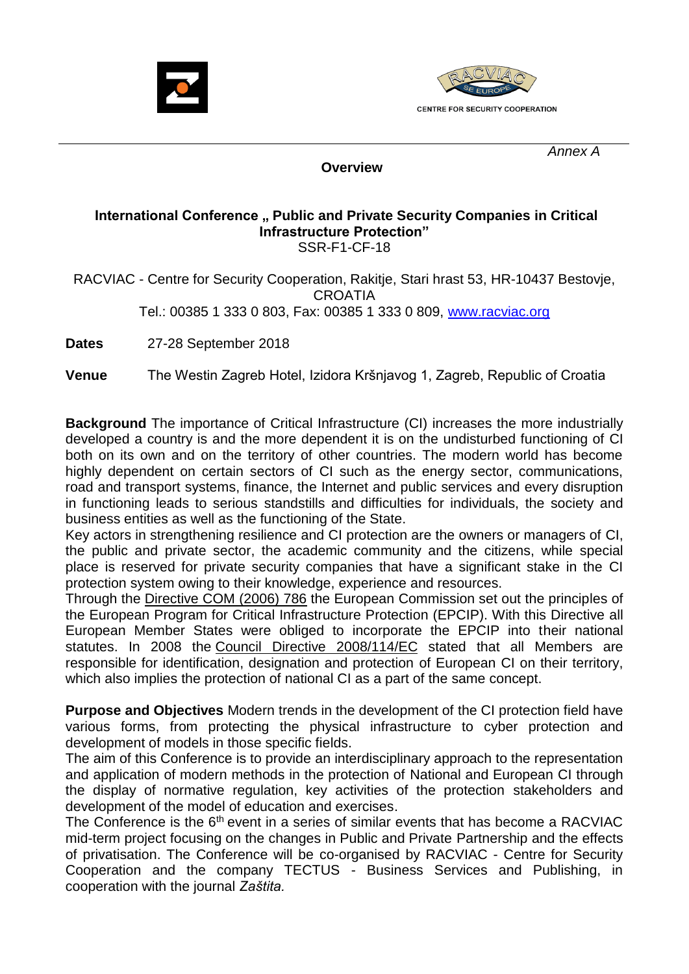



 *Annex A*

 **Overview**

## **International Conference " Public and Private Security Companies in Critical Infrastructure Protection"**  SSR-F1-CF-18

RACVIAC - Centre for Security Cooperation, Rakitje, Stari hrast 53, HR-10437 Bestovje, CROATIA Tel.: 00385 1 333 0 803, Fax: 00385 1 333 0 809, [www.racviac.org](http://www.racviac.org/)

**Dates** 27-28 September 2018

**Venue** The Westin Zagreb Hotel, Izidora Kršnjavog 1, Zagreb, Republic of Croatia

**Background** The importance of Critical Infrastructure (CI) increases the more industrially developed a country is and the more dependent it is on the undisturbed functioning of CI both on its own and on the territory of other countries. The modern world has become highly dependent on certain sectors of CI such as the energy sector, communications, road and transport systems, finance, the Internet and public services and every disruption in functioning leads to serious standstills and difficulties for individuals, the society and business entities as well as the functioning of the State.

Key actors in strengthening resilience and CI protection are the owners or managers of CI, the public and private sector, the academic community and the citizens, while special place is reserved for private security companies that have a significant stake in the CI protection system owing to their knowledge, experience and resources.

Through the [Directive COM \(2006\) 786](http://europa.eu/legislation_summaries/justice_freedom_security/fight_against_terrorism/l33260_en.htm) the European Commission set out the principles of the European Program for Critical Infrastructure Protection (EPCIP). With this Directive all European Member States were obliged to incorporate the EPCIP into their national statutes. In 2008 the [Council Directive 2008/114/](http://europa.eu/legislation_summaries/justice_freedom_security/fight_against_terrorism/jl0013_en.htm)EC stated that all Members are responsible for identification, designation and protection of European CI on their territory, which also implies the protection of national CI as a part of the same concept.

**Purpose and Objectives** Modern trends in the development of the CI protection field have various forms, from protecting the physical infrastructure to cyber protection and development of models in those specific fields.

The aim of this Conference is to provide an interdisciplinary approach to the representation and application of modern methods in the protection of National and European CI through the display of normative regulation, key activities of the protection stakeholders and development of the model of education and exercises.

The Conference is the  $6<sup>th</sup>$  event in a series of similar events that has become a RACVIAC mid-term project focusing on the changes in Public and Private Partnership and the effects of privatisation. The Conference will be co-organised by RACVIAC - Centre for Security Cooperation and the company TECTUS - Business Services and Publishing, in cooperation with the journal *Zaštita.*